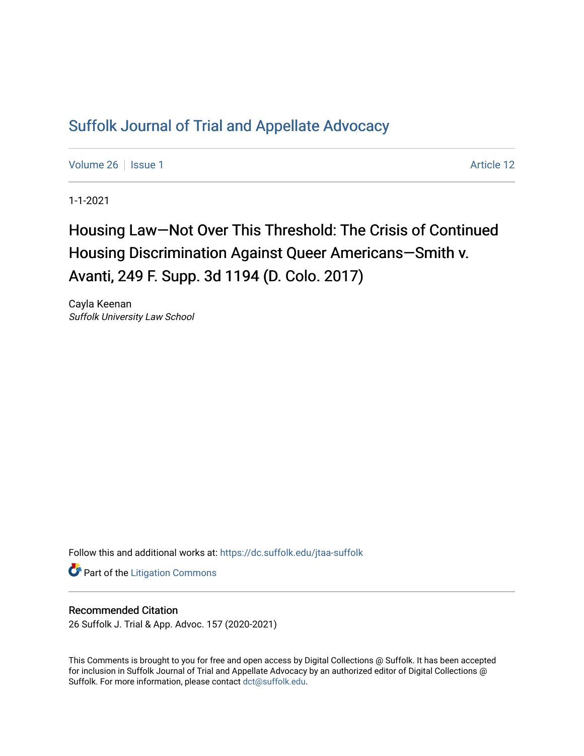## [Suffolk Journal of Trial and Appellate Advocacy](https://dc.suffolk.edu/jtaa-suffolk)

[Volume 26](https://dc.suffolk.edu/jtaa-suffolk/vol26) | [Issue 1](https://dc.suffolk.edu/jtaa-suffolk/vol26/iss1) Article 12

1-1-2021

# Housing Law—Not Over This Threshold: The Crisis of Continued Housing Discrimination Against Queer Americans—Smith v. Avanti, 249 F. Supp. 3d 1194 (D. Colo. 2017)

Cayla Keenan Suffolk University Law School

Follow this and additional works at: [https://dc.suffolk.edu/jtaa-suffolk](https://dc.suffolk.edu/jtaa-suffolk?utm_source=dc.suffolk.edu%2Fjtaa-suffolk%2Fvol26%2Fiss1%2F12&utm_medium=PDF&utm_campaign=PDFCoverPages) 

**Part of the [Litigation Commons](https://network.bepress.com/hgg/discipline/910?utm_source=dc.suffolk.edu%2Fjtaa-suffolk%2Fvol26%2Fiss1%2F12&utm_medium=PDF&utm_campaign=PDFCoverPages)** 

#### Recommended Citation

26 Suffolk J. Trial & App. Advoc. 157 (2020-2021)

This Comments is brought to you for free and open access by Digital Collections @ Suffolk. It has been accepted for inclusion in Suffolk Journal of Trial and Appellate Advocacy by an authorized editor of Digital Collections @ Suffolk. For more information, please contact [dct@suffolk.edu.](mailto:dct@suffolk.edu)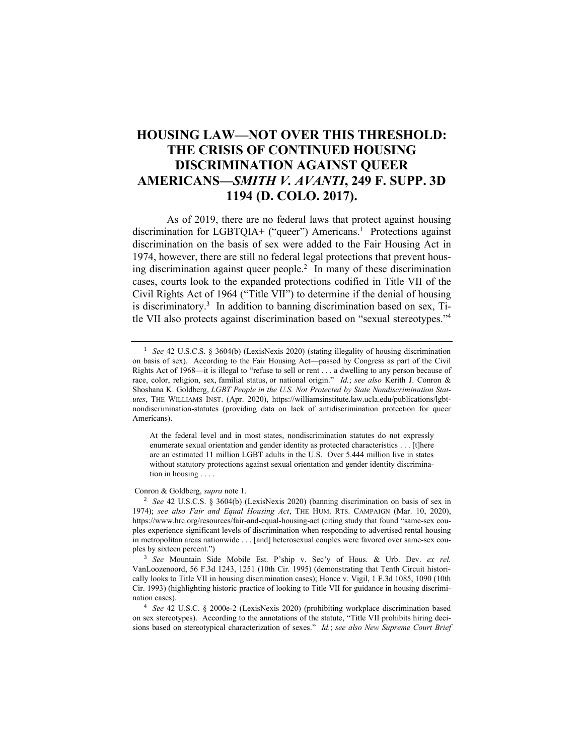### **HOUSING LAW—NOT OVER THIS THRESHOLD: THE CRISIS OF CONTINUED HOUSING DISCRIMINATION AGAINST QUEER AMERICANS—***SMITH V. AVANTI***, 249 F. SUPP. 3D 1194 (D. COLO. 2017).**

As of 2019, there are no federal laws that protect against housing discrimination for LGBTQIA+ ("queer") Americans.<sup>1</sup> Protections against discrimination on the basis of sex were added to the Fair Housing Act in 1974, however, there are still no federal legal protections that prevent housing discrimination against queer people. 2 In many of these discrimination cases, courts look to the expanded protections codified in Title VII of the Civil Rights Act of 1964 ("Title VII") to determine if the denial of housing is discriminatory.<sup>3</sup> In addition to banning discrimination based on sex, Title VII also protects against discrimination based on "sexual stereotypes." 4

At the federal level and in most states, nondiscrimination statutes do not expressly enumerate sexual orientation and gender identity as protected characteristics . . . [t]here are an estimated 11 million LGBT adults in the U.S. Over 5.444 million live in states without statutory protections against sexual orientation and gender identity discrimination in housing . . . .

#### Conron & Goldberg, *supra* note 1.

<sup>2</sup> *See* 42 U.S.C.S. § 3604(b) (LexisNexis 2020) (banning discrimination on basis of sex in 1974); *see also Fair and Equal Housing Act*, THE HUM. RTS. CAMPAIGN (Mar. 10, 2020), https://www.hrc.org/resources/fair-and-equal-housing-act (citing study that found "same-sex couples experience significant levels of discrimination when responding to advertised rental housing in metropolitan areas nationwide . . . [and] heterosexual couples were favored over same-sex couples by sixteen percent.")

<sup>3</sup> *See* Mountain Side Mobile Est. P'ship v. Sec'y of Hous. & Urb. Dev. *ex rel.* VanLoozenoord, 56 F.3d 1243, 1251 (10th Cir. 1995) (demonstrating that Tenth Circuit historically looks to Title VII in housing discrimination cases); Honce v. Vigil, 1 F.3d 1085, 1090 (10th Cir. 1993) (highlighting historic practice of looking to Title VII for guidance in housing discrimination cases).

<sup>4</sup> *See* 42 U.S.C. § 2000e-2 (LexisNexis 2020) (prohibiting workplace discrimination based on sex stereotypes). According to the annotations of the statute, "Title VII prohibits hiring decisions based on stereotypical characterization of sexes." *Id.*; *see also New Supreme Court Brief* 

<sup>&</sup>lt;sup>1</sup> *See* 42 U.S.C.S. § 3604(b) (LexisNexis 2020) (stating illegality of housing discrimination on basis of sex). According to the Fair Housing Act—passed by Congress as part of the Civil Rights Act of 1968—it is illegal to "refuse to sell or rent . . . a dwelling to any person because of race, color, religion, sex, familial status, or national origin." *Id.*; *see also* Kerith J. Conron & Shoshana K. Goldberg, *LGBT People in the U.S. Not Protected by State Nondiscrimination Statutes*, THE WILLIAMS INST. (Apr. 2020), https://williamsinstitute.law.ucla.edu/publications/lgbtnondiscrimination-statutes (providing data on lack of antidiscrimination protection for queer Americans).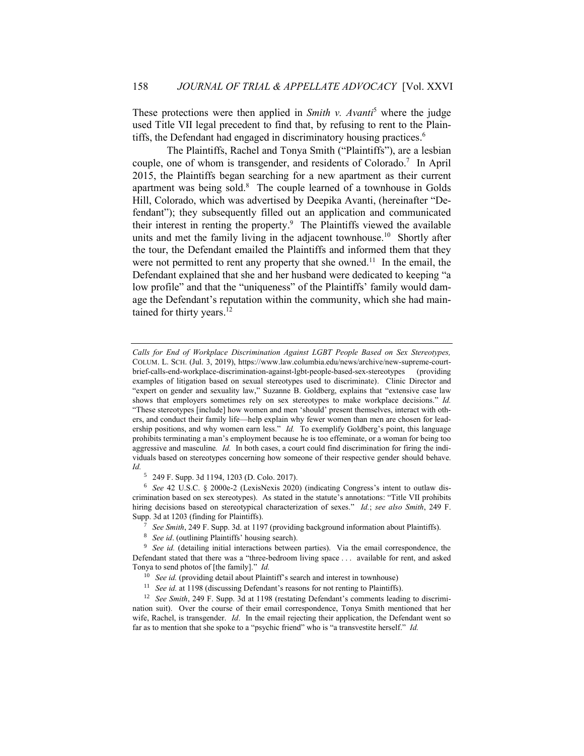These protections were then applied in *Smith v. Avanti*<sup>5</sup> where the judge used Title VII legal precedent to find that, by refusing to rent to the Plaintiffs, the Defendant had engaged in discriminatory housing practices. 6

The Plaintiffs, Rachel and Tonya Smith ("Plaintiffs"), are a lesbian couple, one of whom is transgender, and residents of Colorado. 7 In April 2015, the Plaintiffs began searching for a new apartment as their current apartment was being sold. $8$  The couple learned of a townhouse in Golds Hill, Colorado, which was advertised by Deepika Avanti, (hereinafter "Defendant"); they subsequently filled out an application and communicated their interest in renting the property. 9 The Plaintiffs viewed the available units and met the family living in the adjacent townhouse.<sup>10</sup> Shortly after the tour, the Defendant emailed the Plaintiffs and informed them that they were not permitted to rent any property that she owned.<sup>11</sup> In the email, the Defendant explained that she and her husband were dedicated to keeping "a low profile" and that the "uniqueness" of the Plaintiffs' family would damage the Defendant's reputation within the community, which she had maintained for thirty years. 12

<sup>5</sup> 249 F. Supp. 3d 1194, 1203 (D. Colo. 2017).

<sup>6</sup> *See* 42 U.S.C. § 2000e-2 (LexisNexis 2020) (indicating Congress's intent to outlaw discrimination based on sex stereotypes). As stated in the statute's annotations: "Title VII prohibits hiring decisions based on stereotypical characterization of sexes." *Id.*; *see also Smith*, 249 F. Supp. 3d at 1203 (finding for Plaintiffs).

<sup>7</sup> *See Smith*, 249 F. Supp. 3d. at 1197 (providing background information about Plaintiffs).

<sup>8</sup> *See id*. (outlining Plaintiffs' housing search).

<sup>9</sup> See id. (detailing initial interactions between parties). Via the email correspondence, the Defendant stated that there was a "three-bedroom living space . . . available for rent, and asked Tonya to send photos of [the family]." *Id.*

- <sup>10</sup> *See id.* (providing detail about Plaintiff's search and interest in townhouse)
- <sup>11</sup> *See id.* at 1198 (discussing Defendant's reasons for not renting to Plaintiffs).

<sup>12</sup> *See Smith*, 249 F. Supp. 3d at 1198 (restating Defendant's comments leading to discrimination suit). Over the course of their email correspondence, Tonya Smith mentioned that her wife, Rachel, is transgender. *Id*. In the email rejecting their application, the Defendant went so far as to mention that she spoke to a "psychic friend" who is "a transvestite herself." *Id.*

*Calls for End of Workplace Discrimination Against LGBT People Based on Sex Stereotypes,*  COLUM. L. SCH. (Jul. 3, 2019), https://www.law.columbia.edu/news/archive/new-supreme-courtbrief-calls-end-workplace-discrimination-against-lgbt-people-based-sex-stereotypes (providing examples of litigation based on sexual stereotypes used to discriminate). Clinic Director and "expert on gender and sexuality law," Suzanne B. Goldberg, explains that "extensive case law shows that employers sometimes rely on sex stereotypes to make workplace decisions." *Id.*  "These stereotypes [include] how women and men 'should' present themselves, interact with others, and conduct their family life—help explain why fewer women than men are chosen for leadership positions, and why women earn less." *Id*. To exemplify Goldberg's point, this language prohibits terminating a man's employment because he is too effeminate, or a woman for being too aggressive and masculine*. Id.* In both cases, a court could find discrimination for firing the individuals based on stereotypes concerning how someone of their respective gender should behave. *Id.*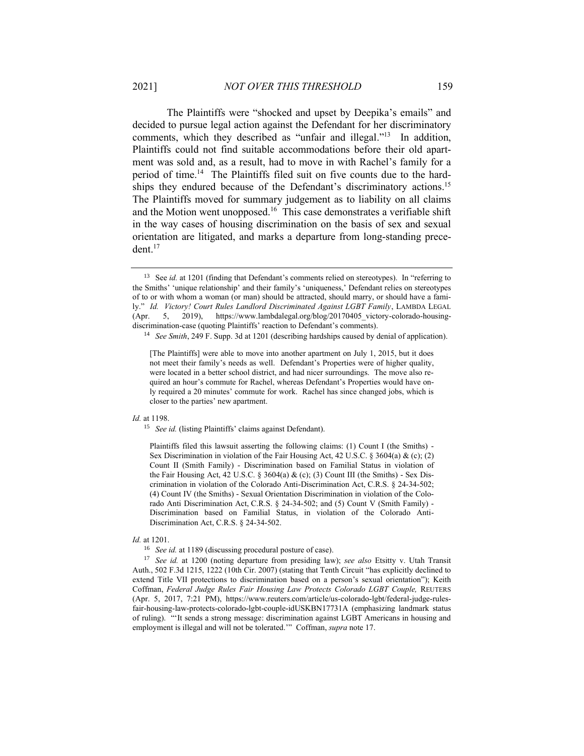The Plaintiffs were "shocked and upset by Deepika's emails" and decided to pursue legal action against the Defendant for her discriminatory comments, which they described as "unfair and illegal."<sup>13</sup> In addition, Plaintiffs could not find suitable accommodations before their old apartment was sold and, as a result, had to move in with Rachel's family for a period of time.<sup>14</sup> The Plaintiffs filed suit on five counts due to the hardships they endured because of the Defendant's discriminatory actions.<sup>15</sup> The Plaintiffs moved for summary judgement as to liability on all claims and the Motion went unopposed.<sup>16</sup> This case demonstrates a verifiable shift in the way cases of housing discrimination on the basis of sex and sexual orientation are litigated, and marks a departure from long-standing precedent. 17

#### *Id.* at 1198.

<sup>15</sup> *See id.* (listing Plaintiffs' claims against Defendant).

Plaintiffs filed this lawsuit asserting the following claims: (1) Count I (the Smiths) - Sex Discrimination in violation of the Fair Housing Act, 42 U.S.C. § 3604(a) & (c); (2) Count II (Smith Family) - Discrimination based on Familial Status in violation of the Fair Housing Act, 42 U.S.C. § 3604(a)  $\&$  (c); (3) Count III (the Smiths) - Sex Discrimination in violation of the Colorado Anti-Discrimination Act, C.R.S. § 24-34-502; (4) Count IV (the Smiths) - Sexual Orientation Discrimination in violation of the Colorado Anti Discrimination Act, C.R.S. § 24-34-502; and (5) Count V (Smith Family) - Discrimination based on Familial Status, in violation of the Colorado Anti-Discrimination Act, C.R.S. § 24-34-502.

#### *Id.* at 1201.

<sup>16</sup> *See id.* at 1189 (discussing procedural posture of case).

<sup>17</sup> *See id.* at 1200 (noting departure from presiding law); *see also* Etsitty v. Utah Transit Auth., 502 F.3d 1215, 1222 (10th Cir. 2007) (stating that Tenth Circuit "has explicitly declined to extend Title VII protections to discrimination based on a person's sexual orientation"); Keith Coffman, *Federal Judge Rules Fair Housing Law Protects Colorado LGBT Couple,* REUTERS (Apr. 5, 2017, 7:21 PM), https://www.reuters.com/article/us-colorado-lgbt/federal-judge-rulesfair-housing-law-protects-colorado-lgbt-couple-idUSKBN17731A (emphasizing landmark status of ruling). "'It sends a strong message: discrimination against LGBT Americans in housing and employment is illegal and will not be tolerated.'" Coffman, *supra* note 17.

<sup>&</sup>lt;sup>13</sup> See *id.* at 1201 (finding that Defendant's comments relied on stereotypes). In "referring to the Smiths' 'unique relationship' and their family's 'uniqueness,' Defendant relies on stereotypes of to or with whom a woman (or man) should be attracted, should marry, or should have a family." *Id. Victory! Court Rules Landlord Discriminated Against LGBT Family*, LAMBDA LEGAL (Apr. 5, 2019), https://www.lambdalegal.org/blog/20170405\_victory-colorado-housingdiscrimination-case (quoting Plaintiffs' reaction to Defendant's comments).

<sup>14</sup> *See Smith*, 249 F. Supp. 3d at 1201 (describing hardships caused by denial of application).

<sup>[</sup>The Plaintiffs] were able to move into another apartment on July 1, 2015, but it does not meet their family's needs as well. Defendant's Properties were of higher quality, were located in a better school district, and had nicer surroundings. The move also required an hour's commute for Rachel, whereas Defendant's Properties would have only required a 20 minutes' commute for work. Rachel has since changed jobs, which is closer to the parties' new apartment.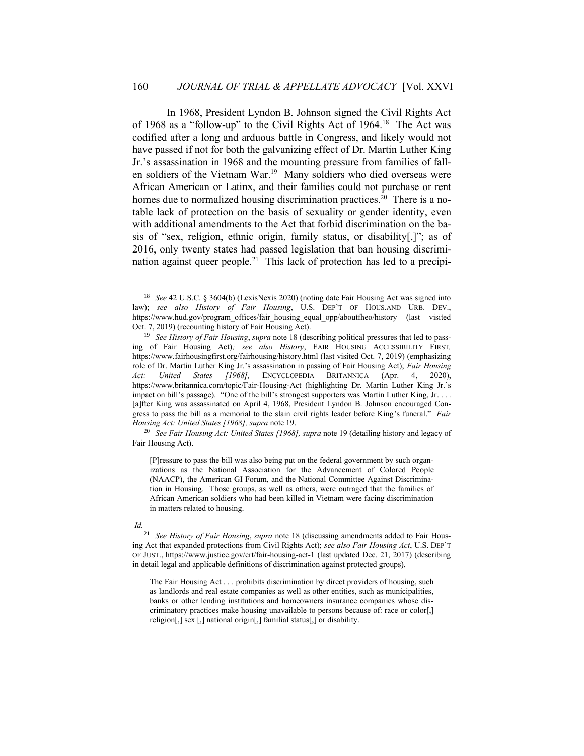In 1968, President Lyndon B. Johnson signed the Civil Rights Act of 1968 as a "follow-up" to the Civil Rights Act of 1964.<sup>18</sup> The Act was codified after a long and arduous battle in Congress, and likely would not have passed if not for both the galvanizing effect of Dr. Martin Luther King Jr.'s assassination in 1968 and the mounting pressure from families of fallen soldiers of the Vietnam War.<sup>19</sup> Many soldiers who died overseas were African American or Latinx, and their families could not purchase or rent homes due to normalized housing discrimination practices.<sup>20</sup> There is a notable lack of protection on the basis of sexuality or gender identity, even with additional amendments to the Act that forbid discrimination on the basis of "sex, religion, ethnic origin, family status, or disability[,]"; as of 2016, only twenty states had passed legislation that ban housing discrimination against queer people.<sup>21</sup> This lack of protection has led to a precipi-

<sup>20</sup> *See Fair Housing Act: United States [1968], supra* note 19 (detailing history and legacy of Fair Housing Act).

[P]ressure to pass the bill was also being put on the federal government by such organizations as the National Association for the Advancement of Colored People (NAACP), the American GI Forum, and the National Committee Against Discrimination in Housing. Those groups, as well as others, were outraged that the families of African American soldiers who had been killed in Vietnam were facing discrimination in matters related to housing.

#### *Id.*

<sup>21</sup> *See History of Fair Housing*, *supra* note 18 (discussing amendments added to Fair Housing Act that expanded protections from Civil Rights Act); *see also Fair Housing Act*, U.S. DEP'T OF JUST., https://www.justice.gov/crt/fair-housing-act-1 (last updated Dec. 21, 2017) (describing in detail legal and applicable definitions of discrimination against protected groups).

The Fair Housing Act . . . prohibits discrimination by direct providers of housing, such as landlords and real estate companies as well as other entities, such as municipalities, banks or other lending institutions and homeowners insurance companies whose discriminatory practices make housing unavailable to persons because of: race or color[,] religion[,] sex [,] national origin[,] familial status[,] or disability.

<sup>18</sup> *See* 42 U.S.C. § 3604(b) (LexisNexis 2020) (noting date Fair Housing Act was signed into law); *see also History of Fair Housing*, U.S. DEP'T OF HOUS.AND URB. DEV., https://www.hud.gov/program\_offices/fair\_housing\_equal\_opp/aboutfheo/history (last visited Oct. 7, 2019) (recounting history of Fair Housing Act).

<sup>19</sup> *See History of Fair Housing*, *supra* note 18 (describing political pressures that led to passing of Fair Housing Act)*; see also History*, FAIR HOUSING ACCESSIBILITY FIRST*,* https://www.fairhousingfirst.org/fairhousing/history.html (last visited Oct. 7, 2019) (emphasizing role of Dr. Martin Luther King Jr.'s assassination in passing of Fair Housing Act); *Fair Housing Act: United States [1968],* ENCYCLOPEDIA BRITANNICA (Apr. 4, 2020), https://www.britannica.com/topic/Fair-Housing-Act (highlighting Dr. Martin Luther King Jr.'s impact on bill's passage). "One of the bill's strongest supporters was Martin Luther King, Jr. . . . [a]fter King was assassinated on April 4, 1968, President Lyndon B. Johnson encouraged Congress to pass the bill as a memorial to the slain civil rights leader before King's funeral." *Fair Housing Act: United States [1968], supra* note 19.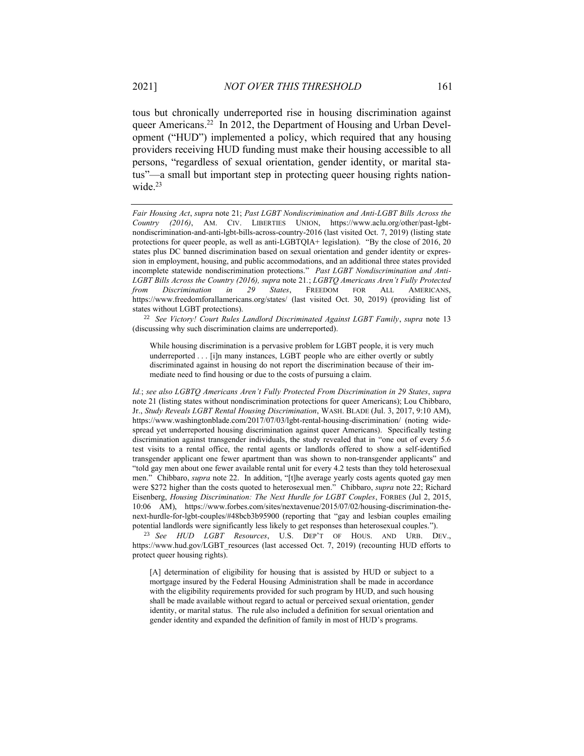tous but chronically underreported rise in housing discrimination against queer Americans.<sup>22</sup> In 2012, the Department of Housing and Urban Development ("HUD") implemented a policy, which required that any housing providers receiving HUD funding must make their housing accessible to all persons, "regardless of sexual orientation, gender identity, or marital status"—a small but important step in protecting queer housing rights nationwide $^{23}$ 

*Fair Housing Act*, *supra* note 21; *Past LGBT Nondiscrimination and Anti-LGBT Bills Across the Country (2016)*, AM. CIV. LIBERTIES UNION, https://www.aclu.org/other/past-lgbtnondiscrimination-and-anti-lgbt-bills-across-country-2016 (last visited Oct. 7, 2019) (listing state protections for queer people, as well as anti-LGBTQIA+ legislation). "By the close of 2016, 20 states plus DC banned discrimination based on sexual orientation and gender identity or expression in employment, housing, and public accommodations, and an additional three states provided incomplete statewide nondiscrimination protections." *Past LGBT Nondiscrimination and Anti-LGBT Bills Across the Country (2016), supra* note 21*.*; *LGBTQ Americans Aren't Fully Protected from Discrimination in 29 States*, FREEDOM FOR ALL AMERICANS, https://www.freedomforallamericans.org/states/ (last visited Oct. 30, 2019) (providing list of states without LGBT protections).

<sup>22</sup> *See Victory! Court Rules Landlord Discriminated Against LGBT Family*, *supra* note 13 (discussing why such discrimination claims are underreported).

While housing discrimination is a pervasive problem for LGBT people, it is very much underreported . . . [i]n many instances, LGBT people who are either overtly or subtly discriminated against in housing do not report the discrimination because of their immediate need to find housing or due to the costs of pursuing a claim.

*Id.*; *see also LGBTQ Americans Aren't Fully Protected From Discrimination in 29 States*, *supra*  note 21 (listing states without nondiscrimination protections for queer Americans); Lou Chibbaro, Jr., *Study Reveals LGBT Rental Housing Discrimination*, WASH. BLADE (Jul. 3, 2017, 9:10 AM), https://www.washingtonblade.com/2017/07/03/lgbt-rental-housing-discrimination/ (noting widespread yet underreported housing discrimination against queer Americans). Specifically testing discrimination against transgender individuals, the study revealed that in "one out of every 5.6 test visits to a rental office, the rental agents or landlords offered to show a self-identified transgender applicant one fewer apartment than was shown to non-transgender applicants" and "told gay men about one fewer available rental unit for every 4.2 tests than they told heterosexual men." Chibbaro, *supra* note 22. In addition, "[t]he average yearly costs agents quoted gay men were \$272 higher than the costs quoted to heterosexual men." Chibbaro, *supra* note 22; Richard Eisenberg, *Housing Discrimination: The Next Hurdle for LGBT Couples*, FORBES (Jul 2, 2015, 10:06 AM), https://www.forbes.com/sites/nextavenue/2015/07/02/housing-discrimination-thenext-hurdle-for-lgbt-couples/#48bcb3b95900 (reporting that "gay and lesbian couples emailing potential landlords were significantly less likely to get responses than heterosexual couples.").

<sup>23</sup> *See HUD LGBT Resources*, U.S. DEP'T OF HOUS. AND URB. DEV., https://www.hud.gov/LGBT\_resources (last accessed Oct. 7, 2019) (recounting HUD efforts to protect queer housing rights).

[A] determination of eligibility for housing that is assisted by HUD or subject to a mortgage insured by the Federal Housing Administration shall be made in accordance with the eligibility requirements provided for such program by HUD, and such housing shall be made available without regard to actual or perceived sexual orientation, gender identity, or marital status. The rule also included a definition for sexual orientation and gender identity and expanded the definition of family in most of HUD's programs.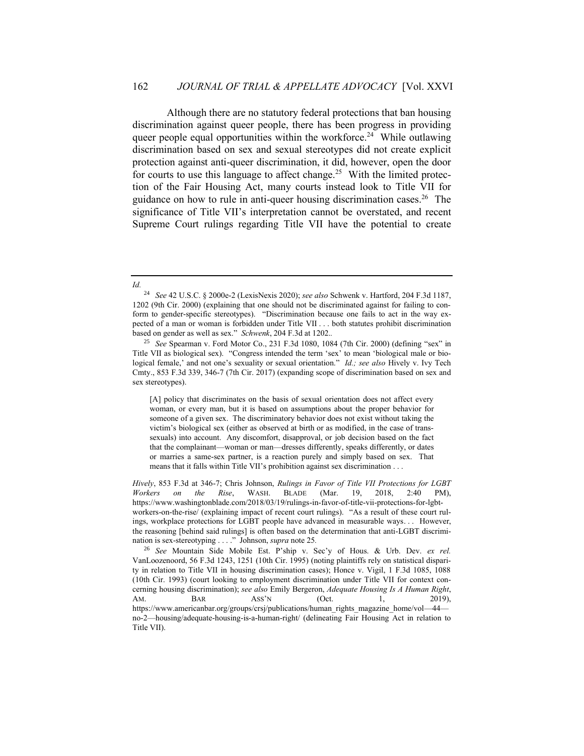Although there are no statutory federal protections that ban housing discrimination against queer people, there has been progress in providing queer people equal opportunities within the workforce.<sup>24</sup> While outlawing discrimination based on sex and sexual stereotypes did not create explicit protection against anti-queer discrimination, it did, however, open the door for courts to use this language to affect change.<sup>25</sup> With the limited protection of the Fair Housing Act, many courts instead look to Title VII for guidance on how to rule in anti-queer housing discrimination cases.<sup>26</sup> The significance of Title VII's interpretation cannot be overstated, and recent Supreme Court rulings regarding Title VII have the potential to create

*Hively*, 853 F.3d at 346-7; Chris Johnson, *Rulings in Favor of Title VII Protections for LGBT Workers on the Rise*, WASH. BLADE (Mar. 19, 2018, 2:40 PM), https://www.washingtonblade.com/2018/03/19/rulings-in-favor-of-title-vii-protections-for-lgbtworkers-on-the-rise/ (explaining impact of recent court rulings). "As a result of these court rulings, workplace protections for LGBT people have advanced in measurable ways. . . However, the reasoning [behind said rulings] is often based on the determination that anti-LGBT discrimination is sex-stereotyping . . . ." Johnson, *supra* note 25*.* 

*Id.*

<sup>24</sup> *See* 42 U.S.C. § 2000e-2 (LexisNexis 2020); *see also* Schwenk v. Hartford, 204 F.3d 1187, 1202 (9th Cir. 2000) (explaining that one should not be discriminated against for failing to conform to gender-specific stereotypes). "Discrimination because one fails to act in the way expected of a man or woman is forbidden under Title VII . . . both statutes prohibit discrimination based on gender as well as sex." *Schwenk*, 204 F.3d at 1202.*.* 

<sup>25</sup> *See* Spearman v. Ford Motor Co., 231 F.3d 1080, 1084 (7th Cir. 2000) (defining "sex" in Title VII as biological sex). "Congress intended the term 'sex' to mean 'biological male or biological female,' and not one's sexuality or sexual orientation." *Id.; see also* Hively v. Ivy Tech Cmty., 853 F.3d 339, 346-7 (7th Cir. 2017) (expanding scope of discrimination based on sex and sex stereotypes).

<sup>[</sup>A] policy that discriminates on the basis of sexual orientation does not affect every woman, or every man, but it is based on assumptions about the proper behavior for someone of a given sex. The discriminatory behavior does not exist without taking the victim's biological sex (either as observed at birth or as modified, in the case of transsexuals) into account. Any discomfort, disapproval, or job decision based on the fact that the complainant—woman or man—dresses differently, speaks differently, or dates or marries a same-sex partner, is a reaction purely and simply based on sex. That means that it falls within Title VII's prohibition against sex discrimination . . .

<sup>26</sup> *See* Mountain Side Mobile Est. P'ship v. Sec'y of Hous. & Urb. Dev. *ex rel.* VanLoozenoord, 56 F.3d 1243, 1251 (10th Cir. 1995) (noting plaintiffs rely on statistical disparity in relation to Title VII in housing discrimination cases); Honce v. Vigil, 1 F.3d 1085, 1088 (10th Cir. 1993) (court looking to employment discrimination under Title VII for context concerning housing discrimination); *see also* Emily Bergeron, *Adequate Housing Is A Human Right*, AM. BAR ASS'N (Oct. 1, 2019), https://www.americanbar.org/groups/crsj/publications/human\_rights\_magazine\_home/vol—44 no-2—housing/adequate-housing-is-a-human-right/ (delineating Fair Housing Act in relation to Title VII).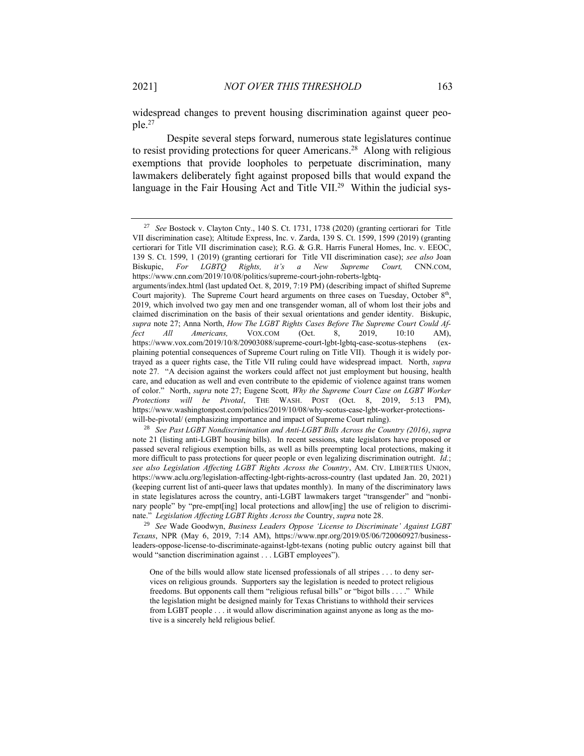widespread changes to prevent housing discrimination against queer people. 27

Despite several steps forward, numerous state legislatures continue to resist providing protections for queer Americans. 28 Along with religious exemptions that provide loopholes to perpetuate discrimination, many lawmakers deliberately fight against proposed bills that would expand the language in the Fair Housing Act and Title VII.<sup>29</sup> Within the judicial sys-

<sup>27</sup> *See* Bostock v. Clayton Cnty., 140 S. Ct. 1731, 1738 (2020) (granting certiorari for Title VII discrimination case); Altitude Express, Inc. v. Zarda, 139 S. Ct. 1599, 1599 (2019) (granting certiorari for Title VII discrimination case); R.G. & G.R. Harris Funeral Homes, Inc. v. EEOC, 139 S. Ct. 1599, 1 (2019) (granting certiorari for Title VII discrimination case); *see also* Joan Biskupic, *For LGBTQ Rights, it's a New Supreme Court,* CNN.COM, https://www.cnn.com/2019/10/08/politics/supreme-court-john-roberts-lgbtq-

arguments/index.html (last updated Oct. 8, 2019, 7:19 PM) (describing impact of shifted Supreme Court majority). The Supreme Court heard arguments on three cases on Tuesday, October 8<sup>th</sup>, 2019, which involved two gay men and one transgender woman, all of whom lost their jobs and claimed discrimination on the basis of their sexual orientations and gender identity. Biskupic, *supra* note 27; Anna North, *How The LGBT Rights Cases Before The Supreme Court Could Affect All Americans.* VOX.COM (Oct. 8, 2019, 10:10 AM), *fect All Americans,* VOX.COM (Oct. 8, 2019, 10:10 AM), https://www.vox.com/2019/10/8/20903088/supreme-court-lgbt-lgbtq-case-scotus-stephens (explaining potential consequences of Supreme Court ruling on Title VII). Though it is widely portrayed as a queer rights case, the Title VII ruling could have widespread impact. North, *supra*  note 27*.* "A decision against the workers could affect not just employment but housing, health care, and education as well and even contribute to the epidemic of violence against trans women of color." North, *supra* note 27; Eugene Scott*, Why the Supreme Court Case on LGBT Worker Protections will be Pivotal*, THE WASH. POST (Oct. 8, 2019, 5:13 PM), https://www.washingtonpost.com/politics/2019/10/08/why-scotus-case-lgbt-worker-protectionswill-be-pivotal/ (emphasizing importance and impact of Supreme Court ruling).

<sup>28</sup> *See Past LGBT Nondiscrimination and Anti-LGBT Bills Across the Country (2016)*, *supra* note 21 (listing anti-LGBT housing bills). In recent sessions, state legislators have proposed or passed several religious exemption bills, as well as bills preempting local protections, making it more difficult to pass protections for queer people or even legalizing discrimination outright. *Id.*; *see also Legislation Affecting LGBT Rights Across the Country*, AM. CIV. LIBERTIES UNION, https://www.aclu.org/legislation-affecting-lgbt-rights-across-country (last updated Jan. 20, 2021) (keeping current list of anti-queer laws that updates monthly). In many of the discriminatory laws in state legislatures across the country, anti-LGBT lawmakers target "transgender" and "nonbinary people" by "pre-empt[ing] local protections and allow[ing] the use of religion to discriminate." *Legislation Affecting LGBT Rights Across the* Country, *supra* note 28.

<sup>29</sup> *See* Wade Goodwyn, *Business Leaders Oppose 'License to Discriminate' Against LGBT Texans*, NPR (May 6, 2019, 7:14 AM), https://www.npr.org/2019/05/06/720060927/businessleaders-oppose-license-to-discriminate-against-lgbt-texans (noting public outcry against bill that would "sanction discrimination against . . . LGBT employees").

One of the bills would allow state licensed professionals of all stripes . . . to deny services on religious grounds. Supporters say the legislation is needed to protect religious freedoms. But opponents call them "religious refusal bills" or "bigot bills . . . ." While the legislation might be designed mainly for Texas Christians to withhold their services from LGBT people . . . it would allow discrimination against anyone as long as the motive is a sincerely held religious belief.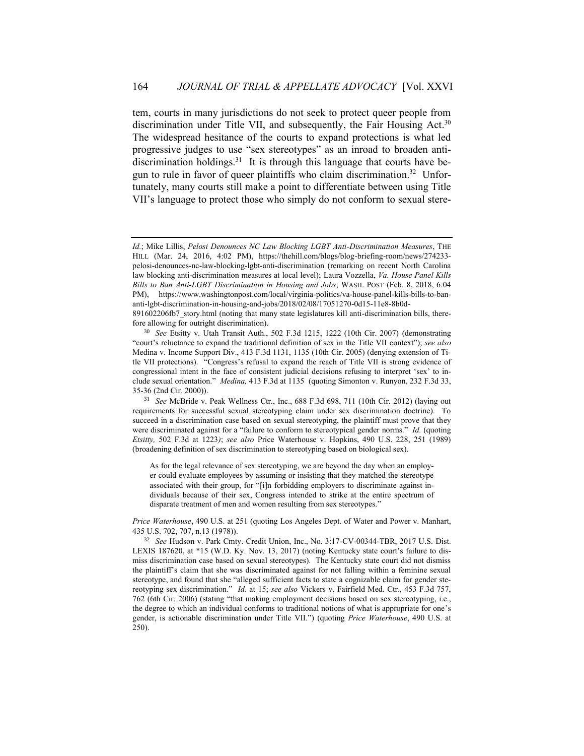tem, courts in many jurisdictions do not seek to protect queer people from discrimination under Title VII, and subsequently, the Fair Housing Act.<sup>30</sup> The widespread hesitance of the courts to expand protections is what led progressive judges to use "sex stereotypes" as an inroad to broaden antidiscrimination holdings.<sup>31</sup> It is through this language that courts have begun to rule in favor of queer plaintiffs who claim discrimination.<sup>32</sup> Unfortunately, many courts still make a point to differentiate between using Title VII's language to protect those who simply do not conform to sexual stere-

*Id.*; Mike Lillis, *Pelosi Denounces NC Law Blocking LGBT Anti-Discrimination Measures*, THE HILL (Mar. 24, 2016, 4:02 PM), https://thehill.com/blogs/blog-briefing-room/news/274233 pelosi-denounces-nc-law-blocking-lgbt-anti-discrimination (remarking on recent North Carolina law blocking anti-discrimination measures at local level); Laura Vozzella, *Va. House Panel Kills Bills to Ban Anti-LGBT Discrimination in Housing and Jobs*, WASH. POST (Feb. 8, 2018, 6:04 PM), https://www.washingtonpost.com/local/virginia-politics/va-house-panel-kills-bills-to-bananti-lgbt-discrimination-in-housing-and-jobs/2018/02/08/17051270-0d15-11e8-8b0d-

<sup>891602206</sup>fb7\_story.html (noting that many state legislatures kill anti-discrimination bills, therefore allowing for outright discrimination).

<sup>30</sup> *See* Etsitty v. Utah Transit Auth., 502 F.3d 1215, 1222 (10th Cir. 2007) (demonstrating "court's reluctance to expand the traditional definition of sex in the Title VII context"); *see also* Medina v. Income Support Div., 413 F.3d 1131, 1135 (10th Cir. 2005) (denying extension of Title VII protections). "Congress's refusal to expand the reach of Title VII is strong evidence of congressional intent in the face of consistent judicial decisions refusing to interpret 'sex' to include sexual orientation." *Medina,* 413 F.3d at 1135(quoting Simonton v. Runyon, 232 F.3d 33, 35-36 (2nd Cir. 2000)).

<sup>31</sup> *See* McBride v. Peak Wellness Ctr., Inc., 688 F.3d 698, 711 (10th Cir. 2012) (laying out requirements for successful sexual stereotyping claim under sex discrimination doctrine). To succeed in a discrimination case based on sexual stereotyping, the plaintiff must prove that they were discriminated against for a "failure to conform to stereotypical gender norms." *Id.* (quoting *Etsitty,* 502 F.3d at 1223*)*; *see also* Price Waterhouse v. Hopkins, 490 U.S. 228, 251 (1989) (broadening definition of sex discrimination to stereotyping based on biological sex).

As for the legal relevance of sex stereotyping, we are beyond the day when an employer could evaluate employees by assuming or insisting that they matched the stereotype associated with their group, for "[i]n forbidding employers to discriminate against individuals because of their sex, Congress intended to strike at the entire spectrum of disparate treatment of men and women resulting from sex stereotypes."

*Price Waterhouse*, 490 U.S. at 251 (quoting Los Angeles Dept. of Water and Power v. Manhart, 435 U.S. 702, 707, n.13 (1978)).

<sup>32</sup> *See* Hudson v. Park Cmty. Credit Union, Inc., No. 3:17-CV-00344-TBR, 2017 U.S. Dist. LEXIS 187620, at \*15 (W.D. Ky. Nov. 13, 2017) (noting Kentucky state court's failure to dismiss discrimination case based on sexual stereotypes). The Kentucky state court did not dismiss the plaintiff's claim that she was discriminated against for not falling within a feminine sexual stereotype, and found that she "alleged sufficient facts to state a cognizable claim for gender stereotyping sex discrimination." *Id.* at 15; *see also* Vickers v. Fairfield Med. Ctr., 453 F.3d 757, 762 (6th Cir. 2006) (stating "that making employment decisions based on sex stereotyping, i.e., the degree to which an individual conforms to traditional notions of what is appropriate for one's gender, is actionable discrimination under Title VII.") (quoting *Price Waterhouse*, 490 U.S. at 250).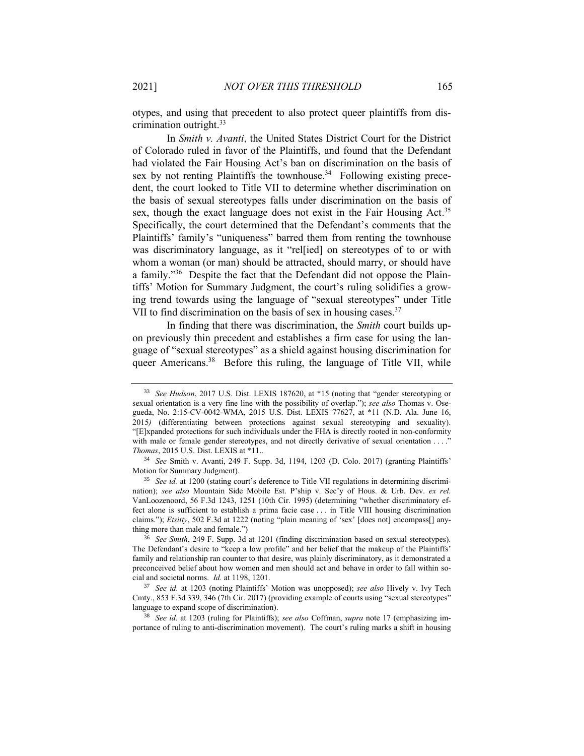otypes, and using that precedent to also protect queer plaintiffs from discrimination outright.<sup>33</sup>

In *Smith v. Avanti*, the United States District Court for the District of Colorado ruled in favor of the Plaintiffs, and found that the Defendant had violated the Fair Housing Act's ban on discrimination on the basis of sex by not renting Plaintiffs the townhouse.<sup>34</sup> Following existing precedent, the court looked to Title VII to determine whether discrimination on the basis of sexual stereotypes falls under discrimination on the basis of sex, though the exact language does not exist in the Fair Housing Act.<sup>35</sup> Specifically, the court determined that the Defendant's comments that the Plaintiffs' family's "uniqueness" barred them from renting the townhouse was discriminatory language, as it "rel[ied] on stereotypes of to or with whom a woman (or man) should be attracted, should marry, or should have a family."<sup>36</sup> Despite the fact that the Defendant did not oppose the Plaintiffs' Motion for Summary Judgment, the court's ruling solidifies a growing trend towards using the language of "sexual stereotypes" under Title VII to find discrimination on the basis of sex in housing cases.<sup>37</sup>

In finding that there was discrimination, the *Smith* court builds upon previously thin precedent and establishes a firm case for using the language of "sexual stereotypes" as a shield against housing discrimination for queer Americans.<sup>38</sup> Before this ruling, the language of Title VII, while

<sup>38</sup> *See id.* at 1203 (ruling for Plaintiffs); *see also* Coffman, *supra* note 17 (emphasizing importance of ruling to anti-discrimination movement). The court's ruling marks a shift in housing

<sup>33</sup> *See Hudson*, 2017 U.S. Dist. LEXIS 187620, at \*15 (noting that "gender stereotyping or sexual orientation is a very fine line with the possibility of overlap."); *see also* Thomas v. Osegueda, No. 2:15-CV-0042-WMA, 2015 U.S. Dist. LEXIS 77627, at \*11 (N.D. Ala. June 16, 2015*)* (differentiating between protections against sexual stereotyping and sexuality). "[E]xpanded protections for such individuals under the FHA is directly rooted in non-conformity with male or female gender stereotypes, and not directly derivative of sexual orientation . . . ." *Thomas*, 2015 U.S. Dist. LEXIS at \*11.*.* 

<sup>34</sup> *See* Smith v. Avanti, 249 F. Supp. 3d, 1194, 1203 (D. Colo. 2017) (granting Plaintiffs' Motion for Summary Judgment).

<sup>&</sup>lt;sup>35</sup> See id. at 1200 (stating court's deference to Title VII regulations in determining discrimination); *see also* Mountain Side Mobile Est. P'ship v. Sec'y of Hous. & Urb. Dev. *ex rel.* VanLoozenoord, 56 F.3d 1243, 1251 (10th Cir. 1995) (determining "whether discriminatory effect alone is sufficient to establish a prima facie case . . . in Title VIII housing discrimination claims."); *Etsitty*, 502 F.3d at 1222 (noting "plain meaning of 'sex' [does not] encompass[] anything more than male and female.")

<sup>36</sup> *See Smith*, 249 F. Supp. 3d at 1201 (finding discrimination based on sexual stereotypes). The Defendant's desire to "keep a low profile" and her belief that the makeup of the Plaintiffs' family and relationship ran counter to that desire, was plainly discriminatory, as it demonstrated a preconceived belief about how women and men should act and behave in order to fall within social and societal norms. *Id.* at 1198, 1201.

<sup>37</sup> *See id.* at 1203 (noting Plaintiffs' Motion was unopposed); *see also* Hively v. Ivy Tech Cmty., 853 F.3d 339, 346 (7th Cir. 2017) (providing example of courts using "sexual stereotypes" language to expand scope of discrimination).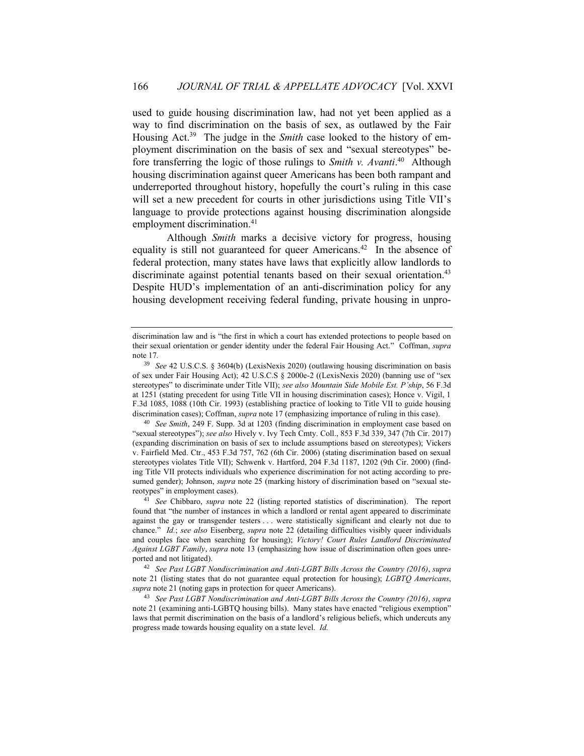used to guide housing discrimination law, had not yet been applied as a way to find discrimination on the basis of sex, as outlawed by the Fair Housing Act.<sup>39</sup> The judge in the *Smith* case looked to the history of employment discrimination on the basis of sex and "sexual stereotypes" before transferring the logic of those rulings to *Smith v. Avanti*. 40 Although housing discrimination against queer Americans has been both rampant and underreported throughout history, hopefully the court's ruling in this case will set a new precedent for courts in other jurisdictions using Title VII's language to provide protections against housing discrimination alongside employment discrimination. 41

Although *Smith* marks a decisive victory for progress, housing equality is still not guaranteed for queer Americans.<sup>42</sup> In the absence of federal protection, many states have laws that explicitly allow landlords to discriminate against potential tenants based on their sexual orientation.<sup>43</sup> Despite HUD's implementation of an anti-discrimination policy for any housing development receiving federal funding, private housing in unpro-

discrimination law and is "the first in which a court has extended protections to people based on their sexual orientation or gender identity under the federal Fair Housing Act." Coffman, *supra* note 17*.*

<sup>39</sup> *See* 42 U.S.C.S. § 3604(b) (LexisNexis 2020) (outlawing housing discrimination on basis of sex under Fair Housing Act); 42 U.S.C.S § 2000e-2 ((LexisNexis 2020) (banning use of "sex stereotypes" to discriminate under Title VII); *see also Mountain Side Mobile Est. P'ship*, 56 F.3d at 1251 (stating precedent for using Title VII in housing discrimination cases); Honce v. Vigil, 1 F.3d 1085, 1088 (10th Cir. 1993) (establishing practice of looking to Title VII to guide housing discrimination cases); Coffman, *supra* note 17 (emphasizing importance of ruling in this case).

<sup>40</sup> *See Smith*, 249 F. Supp. 3d at 1203 (finding discrimination in employment case based on "sexual stereotypes"); *see also* Hively v. Ivy Tech Cmty. Coll., 853 F.3d 339, 347 (7th Cir. 2017) (expanding discrimination on basis of sex to include assumptions based on stereotypes); Vickers v. Fairfield Med. Ctr., 453 F.3d 757, 762 (6th Cir. 2006) (stating discrimination based on sexual stereotypes violates Title VII); Schwenk v. Hartford, 204 F.3d 1187, 1202 (9th Cir. 2000) (finding Title VII protects individuals who experience discrimination for not acting according to presumed gender); Johnson, *supra* note 25 (marking history of discrimination based on "sexual stereotypes" in employment cases).

<sup>41</sup> *See* Chibbaro, *supra* note 22 (listing reported statistics of discrimination). The report found that "the number of instances in which a landlord or rental agent appeared to discriminate against the gay or transgender testers . . . were statistically significant and clearly not due to chance." *Id.*; *see also* Eisenberg, *supra* note 22 (detailing difficulties visibly queer individuals and couples face when searching for housing); *Victory! Court Rules Landlord Discriminated Against LGBT Family*, *supra* note 13 (emphasizing how issue of discrimination often goes unreported and not litigated).

<sup>42</sup> *See Past LGBT Nondiscrimination and Anti-LGBT Bills Across the Country (2016)*, *supra* note 21 (listing states that do not guarantee equal protection for housing); *LGBTQ Americans*, *supra* note 21 (noting gaps in protection for queer Americans).

<sup>43</sup> *See Past LGBT Nondiscrimination and Anti-LGBT Bills Across the Country (2016)*, *supra* note 21 (examining anti-LGBTQ housing bills). Many states have enacted "religious exemption" laws that permit discrimination on the basis of a landlord's religious beliefs, which undercuts any progress made towards housing equality on a state level. *Id.*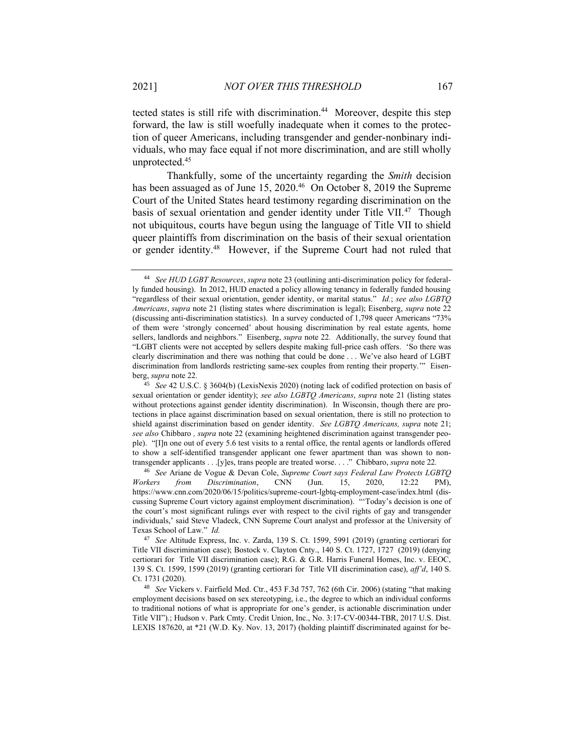tected states is still rife with discrimination.<sup>44</sup> Moreover, despite this step forward, the law is still woefully inadequate when it comes to the protection of queer Americans, including transgender and gender-nonbinary individuals, who may face equal if not more discrimination, and are still wholly unprotected.<sup>45</sup>

Thankfully, some of the uncertainty regarding the *Smith* decision has been assuaged as of June 15, 2020.<sup>46</sup> On October 8, 2019 the Supreme Court of the United States heard testimony regarding discrimination on the basis of sexual orientation and gender identity under Title VII.<sup>47</sup> Though not ubiquitous, courts have begun using the language of Title VII to shield queer plaintiffs from discrimination on the basis of their sexual orientation or gender identity.<sup>48</sup> However, if the Supreme Court had not ruled that

<sup>44</sup> *See HUD LGBT Resources*, *supra* note 23 (outlining anti-discrimination policy for federally funded housing). In 2012, HUD enacted a policy allowing tenancy in federally funded housing "regardless of their sexual orientation, gender identity, or marital status." *Id.*; *see also LGBTQ Americans*, *supra* note 21 (listing states where discrimination is legal); Eisenberg, *supra* note 22 (discussing anti-discrimination statistics). In a survey conducted of 1,798 queer Americans "73% of them were 'strongly concerned' about housing discrimination by real estate agents, home sellers, landlords and neighbors." Eisenberg, *supra* note 22*.* Additionally, the survey found that "LGBT clients were not accepted by sellers despite making full-price cash offers. 'So there was clearly discrimination and there was nothing that could be done . . . We've also heard of LGBT discrimination from landlords restricting same-sex couples from renting their property.'"Eisenberg, *supra* note 22*.* 

<sup>45</sup> *See* 42 U.S.C. § 3604(b) (LexisNexis 2020) (noting lack of codified protection on basis of sexual orientation or gender identity); *see also LGBTQ Americans*, *supra* note 21 (listing states without protections against gender identity discrimination). In Wisconsin, though there are protections in place against discrimination based on sexual orientation, there is still no protection to shield against discrimination based on gender identity. *See LGBTQ Americans, supra* note 21; *see also* Chibbaro *, supra* note 22 (examining heightened discrimination against transgender people). "[I]n one out of every 5.6 test visits to a rental office, the rental agents or landlords offered to show a self-identified transgender applicant one fewer apartment than was shown to nontransgender applicants . . .[y]es, trans people are treated worse. . . ." Chibbaro, *supra* note 22*.* 

<sup>46</sup> *See* Ariane de Vogue & Devan Cole, *Supreme Court says Federal Law Protects LGBTQ Workers from Discrimination*, CNN (Jun. 15, 2020, 12:22 PM), https://www.cnn.com/2020/06/15/politics/supreme-court-lgbtq-employment-case/index.html (discussing Supreme Court victory against employment discrimination). "'Today's decision is one of the court's most significant rulings ever with respect to the civil rights of gay and transgender individuals,' said Steve Vladeck, CNN Supreme Court analyst and professor at the University of Texas School of Law." *Id.* 

<sup>47</sup> *See* Altitude Express, Inc. v. Zarda, 139 S. Ct. 1599, 5991 (2019) (granting certiorari for Title VII discrimination case); Bostock v. Clayton Cnty., 140 S. Ct. 1727, 1727 (2019) (denying certiorari for Title VII discrimination case); R.G. & G.R. Harris Funeral Homes, Inc. v. EEOC, 139 S. Ct. 1599, 1599 (2019) (granting certiorari for Title VII discrimination case), *aff'd*, 140 S. Ct. 1731 (2020).

<sup>48</sup> *See* Vickers v. Fairfield Med. Ctr., 453 F.3d 757, 762 (6th Cir. 2006) (stating "that making employment decisions based on sex stereotyping, i.e., the degree to which an individual conforms to traditional notions of what is appropriate for one's gender, is actionable discrimination under Title VII").; Hudson v. Park Cmty. Credit Union, Inc., No. 3:17-CV-00344-TBR, 2017 U.S. Dist. LEXIS 187620, at \*21 (W.D. Ky. Nov. 13, 2017) (holding plaintiff discriminated against for be-